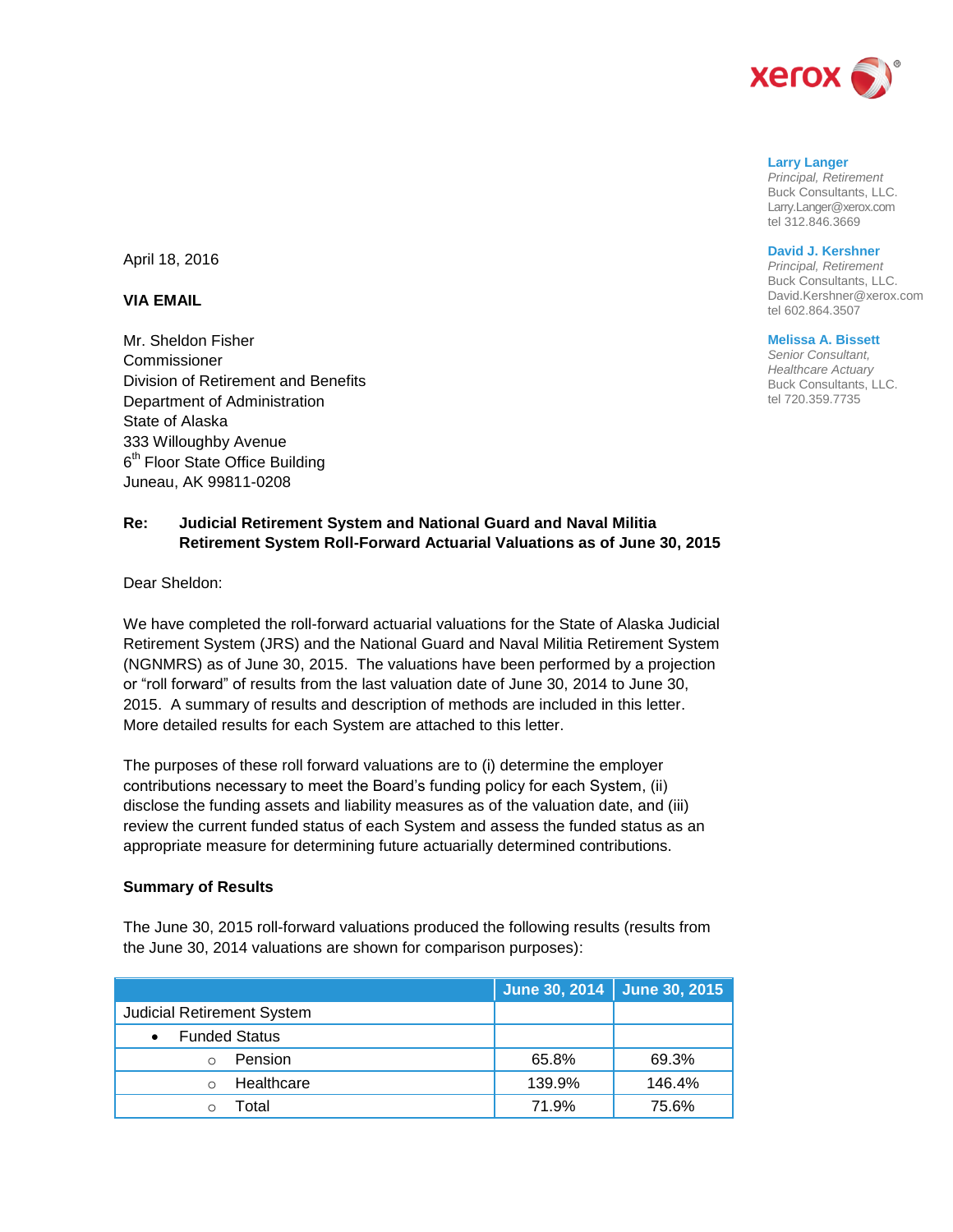

#### **Larry Langer**

*Principal, Retirement* Buck Consultants, LLC. Larry.Langer@xerox.com tel 312.846.3669

### **David J. Kershner**

*Principal, Retirement* Buck Consultants, LLC. David.Kershner@xerox.com tel 602.864.3507

#### **Melissa A. Bissett**

*Senior Consultant, Healthcare Actuary* Buck Consultants, LLC. tel 720.359.7735

April 18, 2016

### **VIA EMAIL**

Mr. Sheldon Fisher **Commissioner** Division of Retirement and Benefits Department of Administration State of Alaska 333 Willoughby Avenue 6<sup>th</sup> Floor State Office Building Juneau, AK 99811-0208

# **Re: Judicial Retirement System and National Guard and Naval Militia Retirement System Roll-Forward Actuarial Valuations as of June 30, 2015**

Dear Sheldon:

We have completed the roll-forward actuarial valuations for the State of Alaska Judicial Retirement System (JRS) and the National Guard and Naval Militia Retirement System (NGNMRS) as of June 30, 2015. The valuations have been performed by a projection or "roll forward" of results from the last valuation date of June 30, 2014 to June 30, 2015. A summary of results and description of methods are included in this letter. More detailed results for each System are attached to this letter.

The purposes of these roll forward valuations are to (i) determine the employer contributions necessary to meet the Board's funding policy for each System, (ii) disclose the funding assets and liability measures as of the valuation date, and (iii) review the current funded status of each System and assess the funded status as an appropriate measure for determining future actuarially determined contributions.

### **Summary of Results**

The June 30, 2015 roll-forward valuations produced the following results (results from the June 30, 2014 valuations are shown for comparison purposes):

|                                   | June 30, 2014   June 30, 2015 |        |
|-----------------------------------|-------------------------------|--------|
| <b>Judicial Retirement System</b> |                               |        |
| <b>Funded Status</b>              |                               |        |
| <b>Pension</b>                    | 65.8%                         | 69.3%  |
| Healthcare                        | 139.9%                        | 146.4% |
| Total                             | 71.9%                         | 75.6%  |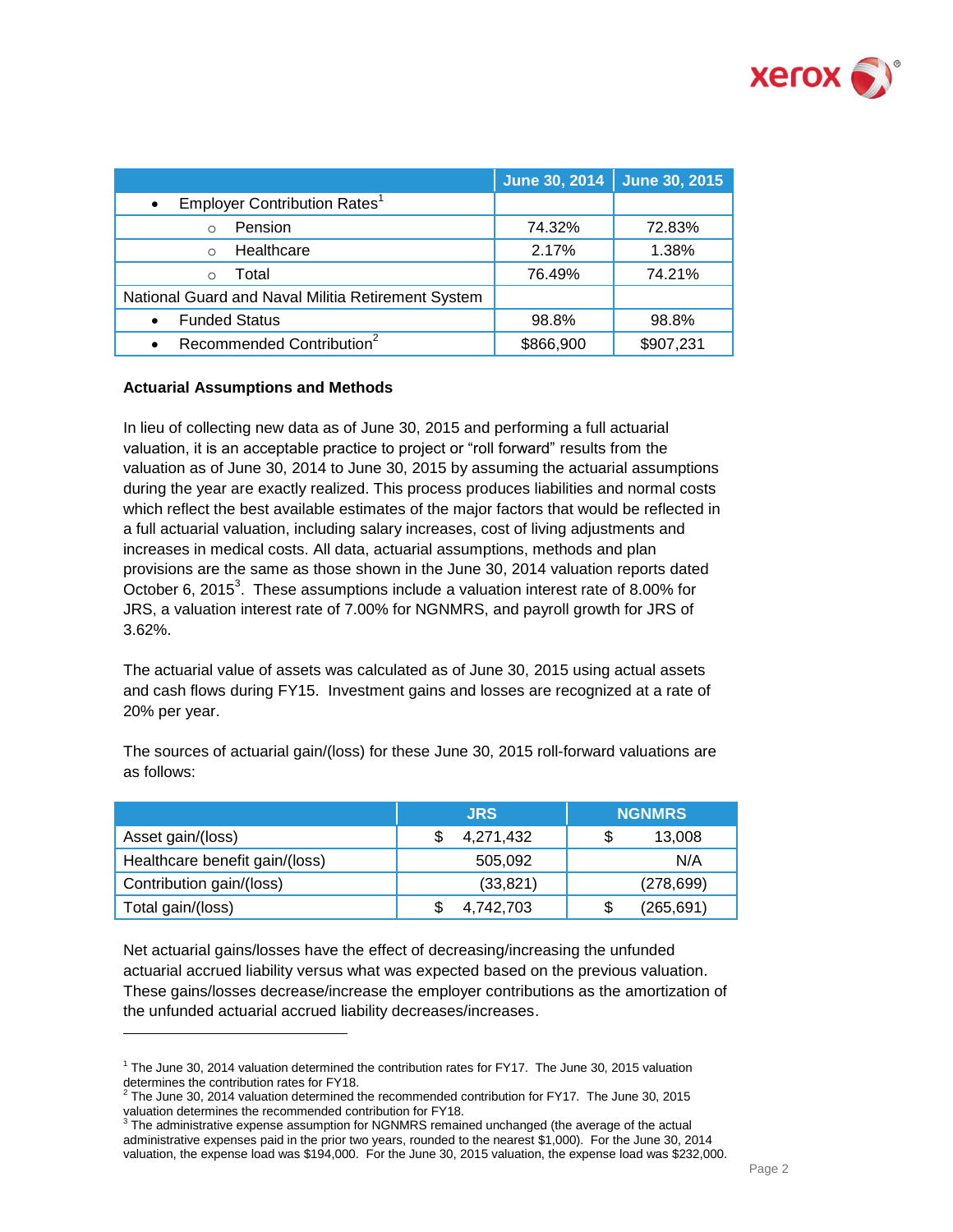

|                                                       |           | June 30, 2014 June 30, 2015 |
|-------------------------------------------------------|-----------|-----------------------------|
| Employer Contribution Rates <sup>1</sup><br>$\bullet$ |           |                             |
| Pension                                               | 74.32%    | 72.83%                      |
| Healthcare<br>$\Omega$                                | 2.17%     | 1.38%                       |
| Total<br>$\Omega$                                     | 76.49%    | 74.21%                      |
| National Guard and Naval Militia Retirement System    |           |                             |
| <b>Funded Status</b>                                  | 98.8%     | 98.8%                       |
| Recommended Contribution <sup>2</sup><br>$\bullet$    | \$866,900 | \$907,231                   |

## **Actuarial Assumptions and Methods**

l

In lieu of collecting new data as of June 30, 2015 and performing a full actuarial valuation, it is an acceptable practice to project or "roll forward" results from the valuation as of June 30, 2014 to June 30, 2015 by assuming the actuarial assumptions during the year are exactly realized. This process produces liabilities and normal costs which reflect the best available estimates of the major factors that would be reflected in a full actuarial valuation, including salary increases, cost of living adjustments and increases in medical costs. All data, actuarial assumptions, methods and plan provisions are the same as those shown in the June 30, 2014 valuation reports dated October 6, 2015<sup>3</sup>. These assumptions include a valuation interest rate of 8.00% for JRS, a valuation interest rate of 7.00% for NGNMRS, and payroll growth for JRS of 3.62%.

The actuarial value of assets was calculated as of June 30, 2015 using actual assets and cash flows during FY15. Investment gains and losses are recognized at a rate of 20% per year.

|             |        |  | the company's state of the company's |  | ________________ |  |
|-------------|--------|--|--------------------------------------|--|------------------|--|
|             |        |  |                                      |  |                  |  |
| as follows: | $\sim$ |  |                                      |  |                  |  |

The sources of actuarial gain/(loss) for these June 30, 2015 roll-forward valuations are

|                                | <b>JRS</b> | <b>NGNMRS</b> |  |
|--------------------------------|------------|---------------|--|
| Asset gain/(loss)              | 4,271,432  | 13,008        |  |
| Healthcare benefit gain/(loss) | 505,092    | N/A           |  |
| Contribution gain/(loss)       | (33, 821)  | (278, 699)    |  |
| Total gain/(loss)              | 4,742,703  | (265, 691)    |  |

Net actuarial gains/losses have the effect of decreasing/increasing the unfunded actuarial accrued liability versus what was expected based on the previous valuation. These gains/losses decrease/increase the employer contributions as the amortization of the unfunded actuarial accrued liability decreases/increases.

 $<sup>1</sup>$  The June 30, 2014 valuation determined the contribution rates for FY17. The June 30, 2015 valuation</sup> determines the contribution rates for FY18.<br><sup>2</sup> The lune 20, 2014 voluntion determined the

The June 30, 2014 valuation determined the recommended contribution for FY17. The June 30, 2015 valuation determines the recommended contribution for FY18.<br><sup>3</sup> The administrative expense assumption for NGNMRS remained unchanged (the average of the actual

administrative expenses paid in the prior two years, rounded to the nearest \$1,000). For the June 30, 2014 valuation, the expense load was \$194,000. For the June 30, 2015 valuation, the expense load was \$232,000.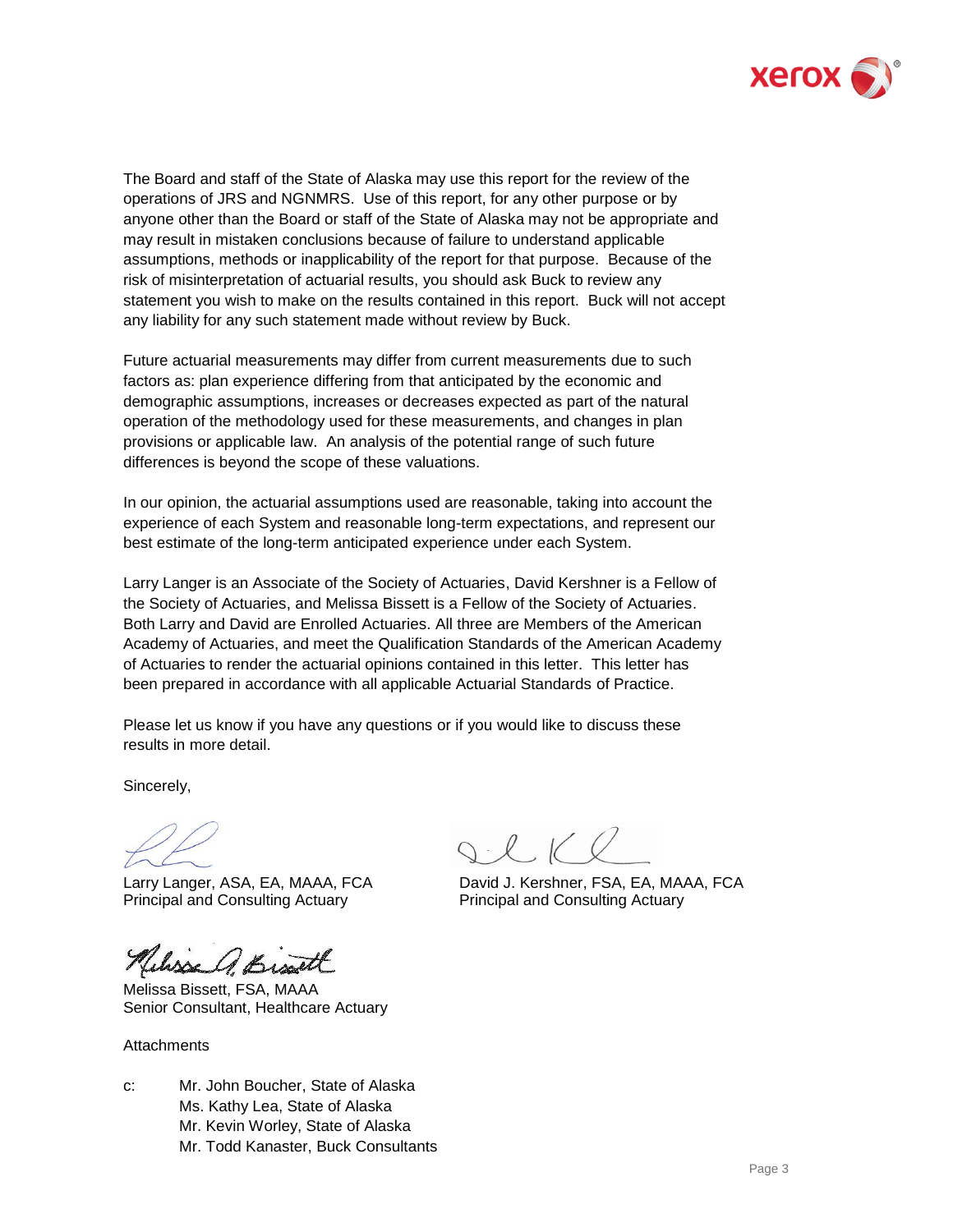

The Board and staff of the State of Alaska may use this report for the review of the operations of JRS and NGNMRS. Use of this report, for any other purpose or by anyone other than the Board or staff of the State of Alaska may not be appropriate and may result in mistaken conclusions because of failure to understand applicable assumptions, methods or inapplicability of the report for that purpose. Because of the risk of misinterpretation of actuarial results, you should ask Buck to review any statement you wish to make on the results contained in this report. Buck will not accept any liability for any such statement made without review by Buck.

Future actuarial measurements may differ from current measurements due to such factors as: plan experience differing from that anticipated by the economic and demographic assumptions, increases or decreases expected as part of the natural operation of the methodology used for these measurements, and changes in plan provisions or applicable law. An analysis of the potential range of such future differences is beyond the scope of these valuations.

In our opinion, the actuarial assumptions used are reasonable, taking into account the experience of each System and reasonable long-term expectations, and represent our best estimate of the long-term anticipated experience under each System.

Larry Langer is an Associate of the Society of Actuaries, David Kershner is a Fellow of the Society of Actuaries, and Melissa Bissett is a Fellow of the Society of Actuaries. Both Larry and David are Enrolled Actuaries. All three are Members of the American Academy of Actuaries, and meet the Qualification Standards of the American Academy of Actuaries to render the actuarial opinions contained in this letter. This letter has been prepared in accordance with all applicable Actuarial Standards of Practice.

Please let us know if you have any questions or if you would like to discuss these results in more detail.

Sincerely,

Principal and Consulting Actuary Principal and Consulting Actuary

Helisse A. Bis

Melissa Bissett, FSA, MAAA Senior Consultant, Healthcare Actuary

**Attachments** 

c: Mr. John Boucher, State of Alaska Ms. Kathy Lea, State of Alaska Mr. Kevin Worley, State of Alaska Mr. Todd Kanaster, Buck Consultants

 $Q.16$ 

Larry Langer, ASA, EA, MAAA, FCA David J. Kershner, FSA, EA, MAAA, FCA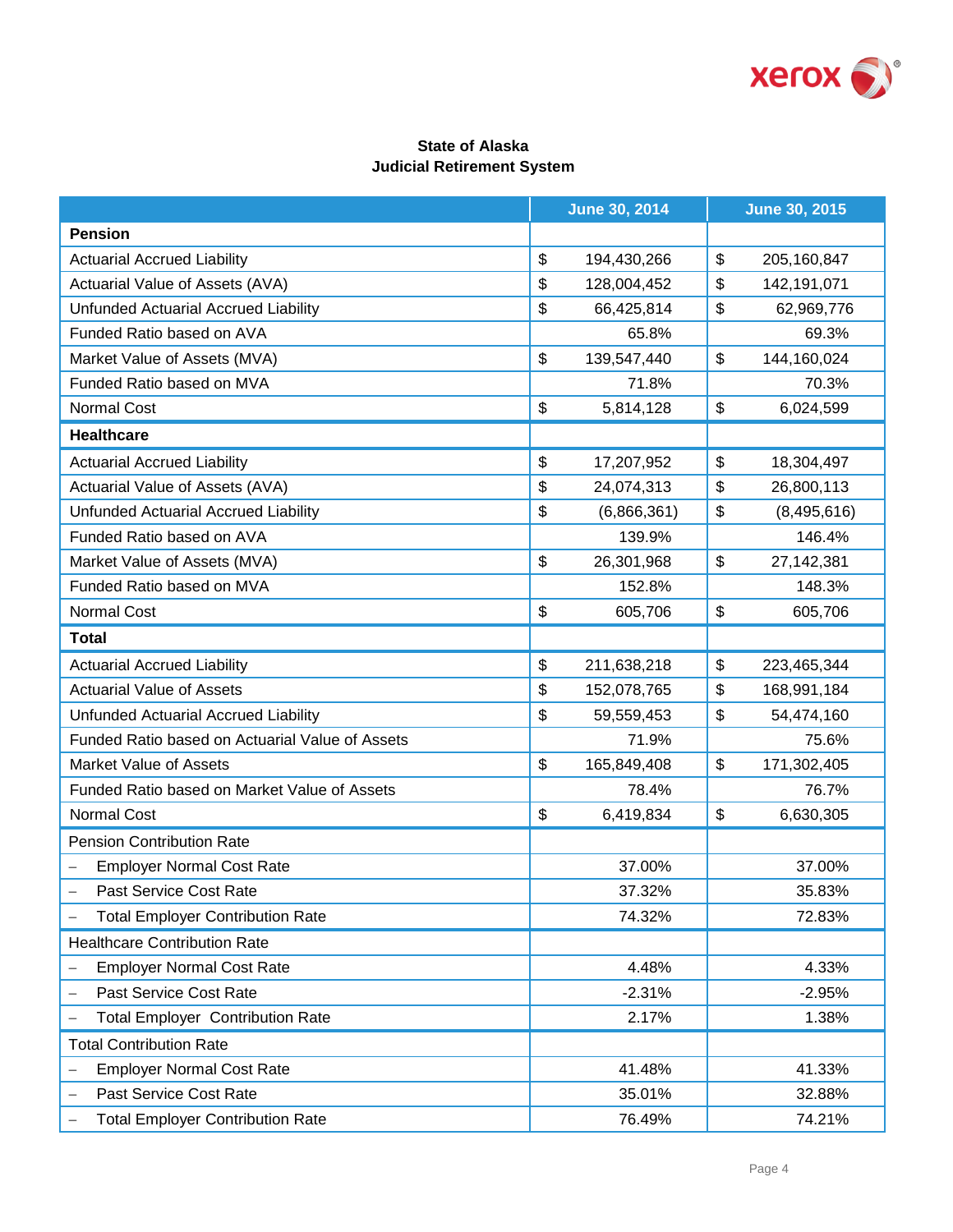

# **State of Alaska Judicial Retirement System**

|                                                 | <b>June 30, 2014</b> |    | <b>June 30, 2015</b> |  |
|-------------------------------------------------|----------------------|----|----------------------|--|
| <b>Pension</b>                                  |                      |    |                      |  |
| <b>Actuarial Accrued Liability</b>              | \$<br>194,430,266    | \$ | 205, 160, 847        |  |
| Actuarial Value of Assets (AVA)                 | \$<br>128,004,452    | \$ | 142,191,071          |  |
| Unfunded Actuarial Accrued Liability            | \$<br>66,425,814     | \$ | 62,969,776           |  |
| Funded Ratio based on AVA                       | 65.8%                |    | 69.3%                |  |
| Market Value of Assets (MVA)                    | \$<br>139,547,440    | \$ | 144,160,024          |  |
| Funded Ratio based on MVA                       | 71.8%                |    | 70.3%                |  |
| <b>Normal Cost</b>                              | \$<br>5,814,128      | \$ | 6,024,599            |  |
| <b>Healthcare</b>                               |                      |    |                      |  |
| <b>Actuarial Accrued Liability</b>              | \$<br>17,207,952     | \$ | 18,304,497           |  |
| Actuarial Value of Assets (AVA)                 | \$<br>24,074,313     | \$ | 26,800,113           |  |
| Unfunded Actuarial Accrued Liability            | \$<br>(6,866,361)    | \$ | (8,495,616)          |  |
| Funded Ratio based on AVA                       | 139.9%               |    | 146.4%               |  |
| Market Value of Assets (MVA)                    | \$<br>26,301,968     | \$ | 27, 142, 381         |  |
| Funded Ratio based on MVA                       | 152.8%               |    | 148.3%               |  |
| Normal Cost                                     | \$<br>605,706        | \$ | 605,706              |  |
| <b>Total</b>                                    |                      |    |                      |  |
| <b>Actuarial Accrued Liability</b>              | \$<br>211,638,218    | \$ | 223,465,344          |  |
| <b>Actuarial Value of Assets</b>                | \$<br>152,078,765    | \$ | 168,991,184          |  |
| Unfunded Actuarial Accrued Liability            | \$<br>59,559,453     | \$ | 54,474,160           |  |
| Funded Ratio based on Actuarial Value of Assets | 71.9%                |    | 75.6%                |  |
| <b>Market Value of Assets</b>                   | \$<br>165,849,408    | \$ | 171,302,405          |  |
| Funded Ratio based on Market Value of Assets    | 78.4%                |    | 76.7%                |  |
| Normal Cost                                     | \$<br>6,419,834      | \$ | 6,630,305            |  |
| <b>Pension Contribution Rate</b>                |                      |    |                      |  |
| <b>Employer Normal Cost Rate</b>                | 37.00%               |    | 37.00%               |  |
| Past Service Cost Rate                          | 37.32%               |    | 35.83%               |  |
| <b>Total Employer Contribution Rate</b>         | 74.32%               |    | 72.83%               |  |
| <b>Healthcare Contribution Rate</b>             |                      |    |                      |  |
| <b>Employer Normal Cost Rate</b>                | 4.48%                |    | 4.33%                |  |
| Past Service Cost Rate                          | $-2.31%$             |    | $-2.95%$             |  |
| <b>Total Employer Contribution Rate</b>         | 2.17%                |    | 1.38%                |  |
| <b>Total Contribution Rate</b>                  |                      |    |                      |  |
| <b>Employer Normal Cost Rate</b>                | 41.48%               |    | 41.33%               |  |
| Past Service Cost Rate                          | 35.01%               |    | 32.88%               |  |
| <b>Total Employer Contribution Rate</b>         | 76.49%               |    | 74.21%               |  |